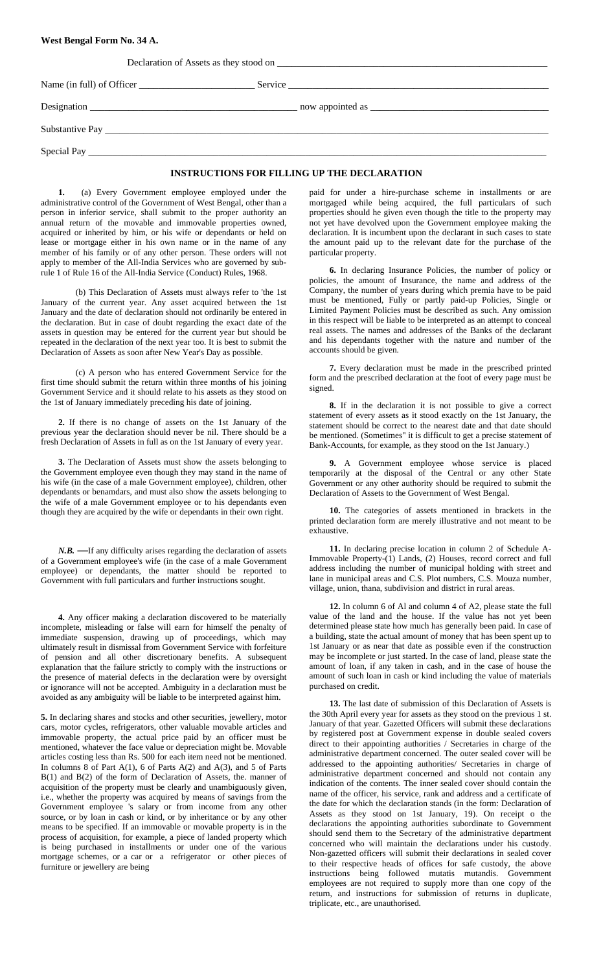#### **West Bengal Form No. 34 A.**

| INGERIATION ON BORDELL IN THE BULGE AND ARTON |
|-----------------------------------------------|

#### **INSTRUCTIONS FOR FILLING UP THE DECLARATION**

**1.** (a) Every Government employee employed under the administrative control of the Government of West Bengal, other than a person in inferior service, shall submit to the proper authority an annual return of the movable and immovable properties owned, acquired or inherited by him, or his wife or dependants or held on lease or mortgage either in his own name or in the name of any member of his family or of any other person. These orders will not apply to member of the All-India Services who are governed by subrule 1 of Rule 16 of the All-India Service (Conduct) Rules, 1968.

(b) This Declaration of Assets must always refer to 'the 1st January of the current year. Any asset acquired between the 1st January and the date of declaration should not ordinarily be entered in the declaration. But in case of doubt regarding the exact date of the assets in question may be entered for the current year but should be repeated in the declaration of the next year too. It is best to submit the Declaration of Assets as soon after New Year's Day as possible.

(c) A person who has entered Government Service for the first time should submit the return within three months of his joining Government Service and it should relate to his assets as they stood on the 1st of January immediately preceding his date of joining.

**2.** If there is no change of assets on the 1st January of the previous year the declaration should never be nil. There should be a fresh Declaration of Assets in full as on the 1st January of every year.

**3.** The Declaration of Assets must show the assets belonging to the Government employee even though they may stand in the name of his wife (in the case of a male Government employee), children, other dependants or benamdars, and must also show the assets belonging to the wife of a male Government employee or to his dependants even though they are acquired by the wife or dependants in their own right.

*N.B.* **—**If any difficulty arises regarding the declaration of assets of a Government employee's wife (in the case of a male Government employee) or dependants, the matter should be reported to Government with full particulars and further instructions sought.

**4.** Any officer making a declaration discovered to be materially incomplete, misleading or false will earn for himself the penalty of immediate suspension, drawing up of proceedings, which may ultimately result in dismissal from Government Service with forfeiture of pension and all other discretionary benefits. A subsequent explanation that the failure strictly to comply with the instructions or the presence of material defects in the declaration were by oversight or ignorance will not be accepted. Ambiguity in a declaration must be avoided as any ambiguity will be liable to be interpreted against him.

**5.** In declaring shares and stocks and other securities, jewellery, motor cars, motor cycles, refrigerators, other valuable movable articles and immovable property, the actual price paid by an officer must be mentioned, whatever the face value or depreciation might be. Movable articles costing less than Rs. 500 for each item need not be mentioned. In columns 8 of Part A(1), 6 of Parts A(2) and A(3), and 5 of Parts B(1) and B(2) of the form of Declaration of Assets, the. manner of acquisition of the property must be clearly and unambiguously given, i.e., whether the property was acquired by means of savings from the Government employee 's salary or from income from any other source, or by loan in cash or kind, or by inheritance or by any other means to be specified. If an immovable or movable property is in the process of acquisition, for example, a piece of landed property which is being purchased in installments or under one of the various mortgage schemes, or a car or a refrigerator or other pieces of furniture or jewellery are being

 paid for under a hire-purchase scheme in installments or are mortgaged while being acquired, the full particulars of such properties should he given even though the title to the property may not yet have devolved upon the Government employee making the declaration. It is incumbent upon the declarant in such cases to state the amount paid up to the relevant date for the purchase of the particular property.

**6.** In declaring Insurance Policies, the number of policy or policies, the amount of Insurance, the name and address of the Company, the number of years during which premia have to be paid must be mentioned, Fully or partly paid-up Policies, Single or Limited Payment Policies must be described as such. Any omission in this respect will be liable to be interpreted as an attempt to conceal real assets. The names and addresses of the Banks of the declarant and his dependants together with the nature and number of the accounts should be given.

**7.** Every declaration must be made in the prescribed printed form and the prescribed declaration at the foot of every page must be signed.

**8.** If in the declaration it is not possible to give a correct statement of every assets as it stood exactly on the 1st January, the statement should be correct to the nearest date and that date should be mentioned. (Sometimes" it is difficult to get a precise statement of Bank-Accounts, for example, as they stood on the 1st January.)

**9.** A Government employee whose service is placed temporarily at the disposal of the Central or any other State Government or any other authority should be required to submit the Declaration of Assets to the Government of West Bengal.

**10.** The categories of assets mentioned in brackets in the printed declaration form are merely illustrative and not meant to be exhaustive.

**11.** In declaring precise location in column 2 of Schedule A-Immovable Property-(1) Lands, (2) Houses, record correct and full address including the number of municipal holding with street and lane in municipal areas and C.S. Plot numbers, C.S. Mouza number, village, union, thana, subdivision and district in rural areas.

**12.** In column 6 of Al and column 4 of A2, please state the full value of the land and the house. If the value has not yet been determined please state how much has generally been paid. In case of a building, state the actual amount of money that has been spent up to 1st January or as near that date as possible even if the construction may be incomplete or just started. In the case of land, please state the amount of loan, if any taken in cash, and in the case of house the amount of such loan in cash or kind including the value of materials purchased on credit.

**13.** The last date of submission of this Declaration of Assets is the 30th April every year for assets as they stood on the previous 1 st. January of that year. Gazetted Officers will submit these declarations by registered post at Government expense in double sealed covers direct to their appointing authorities / Secretaries in charge of the administrative department concerned. The outer sealed cover will be addressed to the appointing authorities/ Secretaries in charge of administrative department concerned and should not contain any indication of the contents. The inner sealed cover should contain the name of the officer, his service, rank and address and a certificate of the date for which the declaration stands (in the form: Declaration of Assets as they stood on 1st January, 19). On receipt o the declarations the appointing authorities subordinate to Government should send them to the Secretary of the administrative department concerned who will maintain the declarations under his custody. Non-gazetted officers will submit their declarations in sealed cover to their respective heads of offices for safe custody, the above instructions being followed mutatis mutandis. Government employees are not required to supply more than one copy of the return, and instructions for submission of returns in duplicate, triplicate, etc., are unauthorised.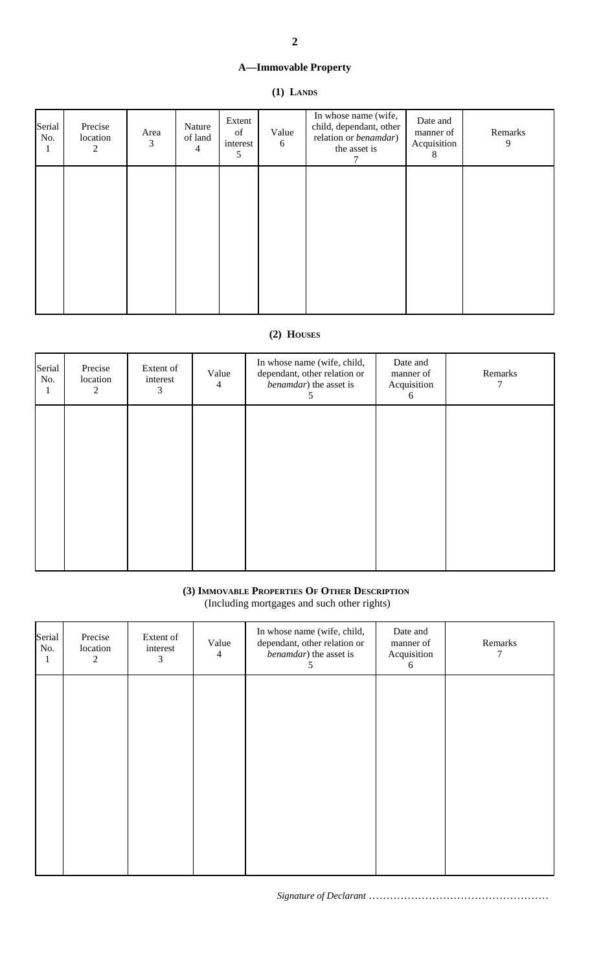# **A—Immovable Property**

# **(1) LANDS**

| Serial<br>No.<br>1 | Precise<br>location<br>2 | Area<br>3 | Nature<br>of land<br>$\overline{4}$ | Extent<br>of<br>interest<br>5 | Value<br>6 | In whose name (wife,<br>child, dependant, other<br>relation or benamdar)<br>the asset is | Date and<br>manner of<br>Acquisition<br>8 | Remarks<br>9 |
|--------------------|--------------------------|-----------|-------------------------------------|-------------------------------|------------|------------------------------------------------------------------------------------------|-------------------------------------------|--------------|
|                    |                          |           |                                     |                               |            |                                                                                          |                                           |              |
|                    |                          |           |                                     |                               |            |                                                                                          |                                           |              |
|                    |                          |           |                                     |                               |            |                                                                                          |                                           |              |

# **(2) HOUSES**

| Serial<br>No. | Precise<br>location<br>$\boldsymbol{2}$ | Extent of<br>interest<br>3 | Value<br>$\overline{4}$ | In whose name (wife, child,<br>dependant, other relation or<br>benamdar) the asset is<br>C | Date and<br>manner of<br>Acquisition<br>6 | Remarks |
|---------------|-----------------------------------------|----------------------------|-------------------------|--------------------------------------------------------------------------------------------|-------------------------------------------|---------|
|               |                                         |                            |                         |                                                                                            |                                           |         |
|               |                                         |                            |                         |                                                                                            |                                           |         |
|               |                                         |                            |                         |                                                                                            |                                           |         |
|               |                                         |                            |                         |                                                                                            |                                           |         |

# **(3) IMMOVABLE PROPERTIES OF OTHER DESCRIPTION**

(Including mortgages and such other rights)

| Serial<br>No.<br>$\bf{I}$ | Precise<br>location<br>$\overline{2}$ | Extent of<br>interest<br>3 | Value<br>$\overline{4}$ | In whose name (wife, child,<br>dependant, other relation or<br>benamdar) the asset is<br>C | Date and<br>manner of<br>Acquisition<br>6 | Remarks<br>7 |
|---------------------------|---------------------------------------|----------------------------|-------------------------|--------------------------------------------------------------------------------------------|-------------------------------------------|--------------|
|                           |                                       |                            |                         |                                                                                            |                                           |              |
|                           |                                       |                            |                         |                                                                                            |                                           |              |
|                           |                                       |                            |                         |                                                                                            |                                           |              |
|                           |                                       |                            |                         |                                                                                            |                                           |              |

*Signature of Declarant* ……………………………………………